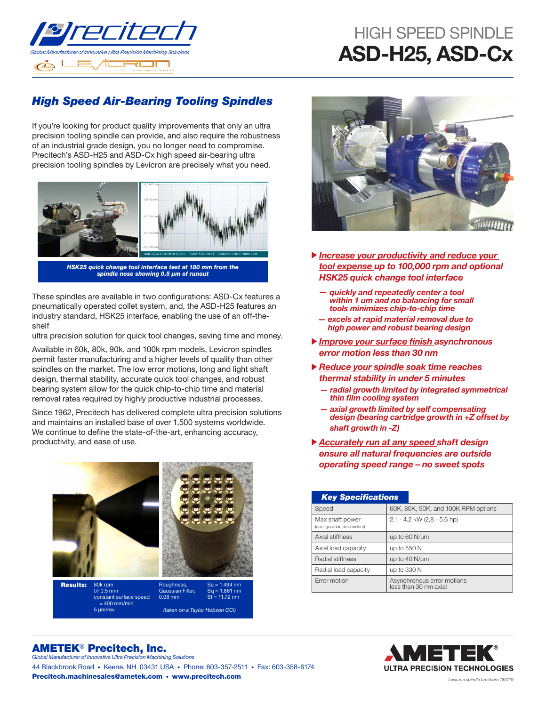

## HIGH SPFFD SPINDLF ASD-H25, ASD-Cx

## *High Speed Air-Bearing Tooling Spindles*

If you're looking for product quality improvements that only an ultra precision tooling spindle can provide, and also require the robustness of an industrial grade design, you no longer need to compromise. Precitech's ASD-H25 and ASD-Cx high speed air-bearing ultra precision tooling spindles by Levicron are precisely what you need.



*HSK25 quick change tool interface test at 180 mm from the*  spindle nose showing 0.5 μm of runout

These spindles are available in two configurations: ASD-Cx features a pneumatically operated collet system, and, the ASD-H25 features an industry standard, HSK25 interface, enabling the use of an off-theshelf

ultra precision solution for quick tool changes, saving time and money.

Available in 60k, 80k, 90k, and 100k rpm models, Levicron spindles permit faster manufacturing and a higher levels of quality than other spindles on the market. The low error motions, long and light shaft design, thermal stability, accurate quick tool changes, and robust bearing system allow for the quick chip-to-chip time and material removal rates required by highly productive industrial processes.

Since 1962, Precitech has delivered complete ultra precision solutions and maintains an installed base of over 1,500 systems worldwide. We continue to define the state-of-the-art, enhancing accuracy, productivity, and ease of use.







- *Increase your productivity and reduce your tool expense up to 100,000 rpm and optional HSK25 quick change tool interface*
	- *quickly and repeatedly center a tool within 1 um and no balancing for small tools minimizes chip-to-chip time*
	- *excels at rapid material removal due to high power and robust bearing design*
- Improve your surface finish *asynchronous error motion less than 30 nm*
- *Reduce your spindle soak time reaches thermal stability in under 5 minutes*
	- *radial growth limited by integrated symmetrical*  thin film cooling system
	- *axial growth limited by self compensating design (bearing cartridge growth in +Z offset by shaft growth in -Z)*
- *Accurately run at any speed shaft design ensure all natural frequencies are outside operating speed range – no sweet spots*

| <b>Key Specifications</b>                    |                                                     |  |  |  |  |
|----------------------------------------------|-----------------------------------------------------|--|--|--|--|
| Speed                                        | 60K, 80K, 90K, and 100K RPM options                 |  |  |  |  |
| Max shaft power<br>(configuration dependent) | 2.1 - 4.2 kW (2.8 - 5.6 hp)                         |  |  |  |  |
| Axial stiffness                              | up to 60 N/um                                       |  |  |  |  |
| Axial load capacity                          | up to 550 N                                         |  |  |  |  |
| Radial stiffness                             | up to 40 N/um                                       |  |  |  |  |
| Radial load capacity                         | up to 330 N                                         |  |  |  |  |
| <b>Error motion</b>                          | Asynchronous error motions<br>less than 30 nm axial |  |  |  |  |



## AMETEK® Precitech, Inc. *Global Manufacturer of Innovative Ultra Precision Machining Solutions*

44 Blackbrook Road • Keene, NH 03431 USA • Phone: 603-357-2511 • Fax: 603-358-6174 Precitech.machinesales@ametek.com • www.precitech.com